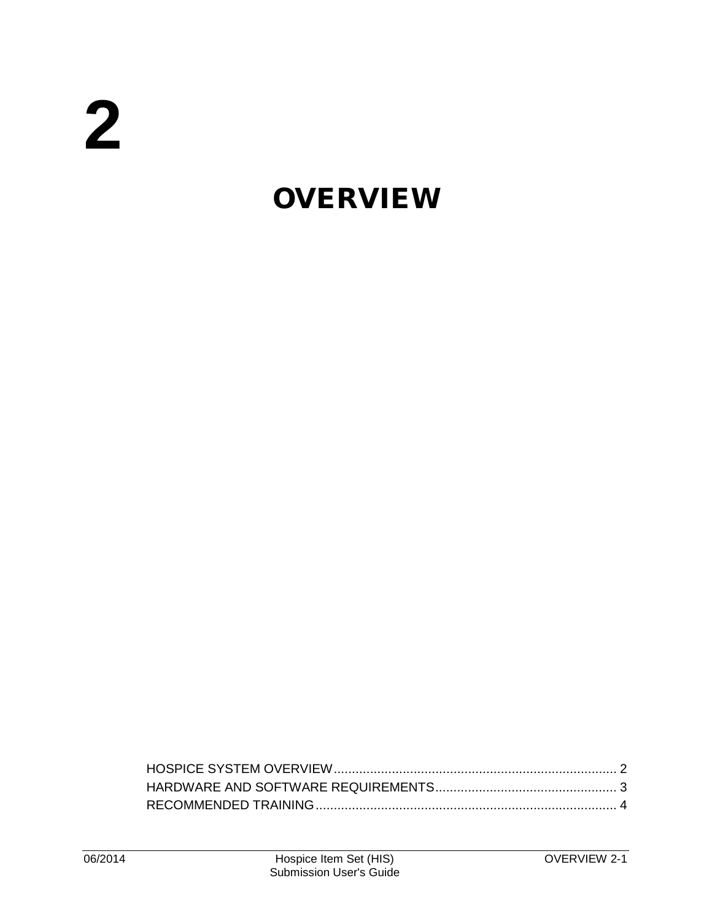## **OVERVIEW**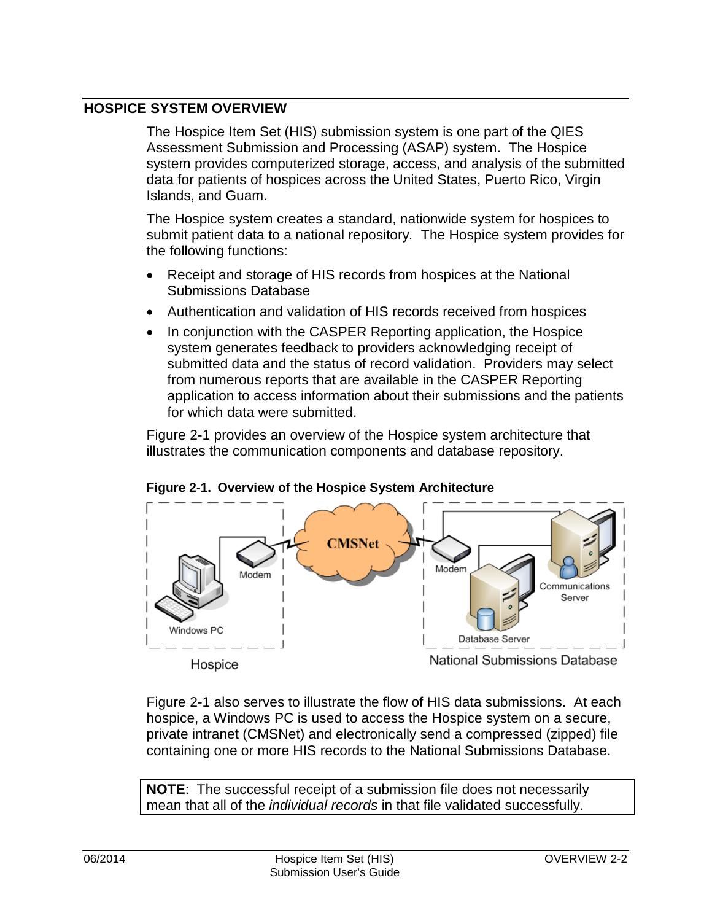## <span id="page-1-0"></span>**HOSPICE SYSTEM OVERVIEW**

The Hospice Item Set (HIS) submission system is one part of the QIES Assessment Submission and Processing (ASAP) system. The Hospice system provides computerized storage, access, and analysis of the submitted data for patients of hospices across the United States, Puerto Rico, Virgin Islands, and Guam.

The Hospice system creates a standard, nationwide system for hospices to submit patient data to a national repository*.* The Hospice system provides for the following functions:

- Receipt and storage of HIS records from hospices at the National Submissions Database
- Authentication and validation of HIS records received from hospices
- In conjunction with the CASPER Reporting application, the Hospice system generates feedback to providers acknowledging receipt of submitted data and the status of record validation. Providers may select from numerous reports that are available in the CASPER Reporting application to access information about their submissions and the patients for which data were submitted.

Figure 2-1 provides an overview of the Hospice system architecture that illustrates the communication components and database repository.





Figure 2-1 also serves to illustrate the flow of HIS data submissions. At each hospice, a Windows PC is used to access the Hospice system on a secure, private intranet (CMSNet) and electronically send a compressed (zipped) file containing one or more HIS records to the National Submissions Database.

**NOTE**: The successful receipt of a submission file does not necessarily mean that all of the *individual records* in that file validated successfully.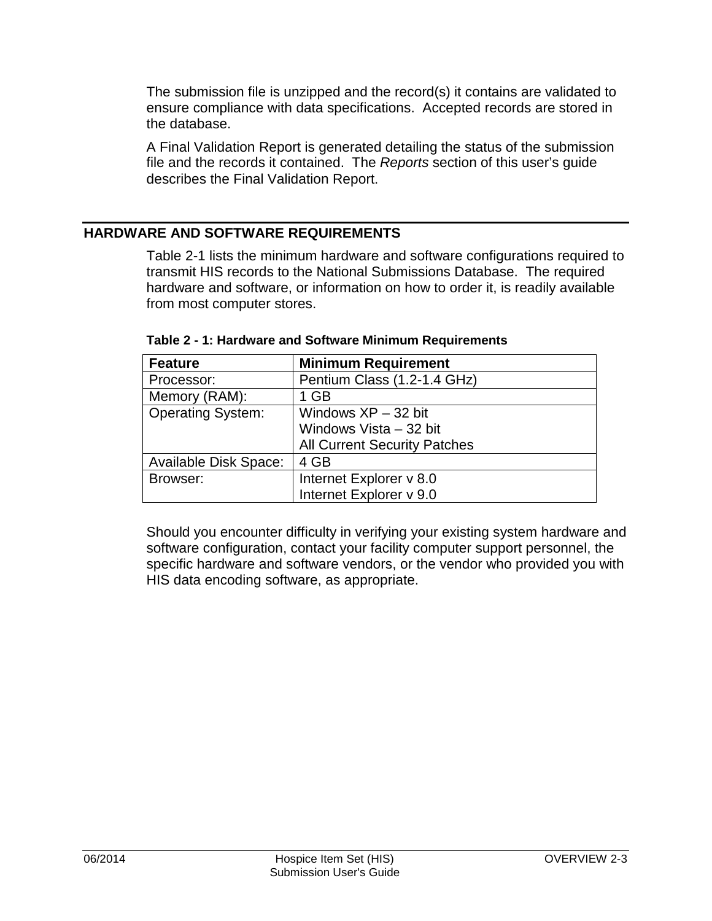The submission file is unzipped and the record(s) it contains are validated to ensure compliance with data specifications. Accepted records are stored in the database.

A Final Validation Report is generated detailing the status of the submission file and the records it contained. The *Reports* section of this user's guide describes the Final Validation Report.

## <span id="page-2-0"></span>**HARDWARE AND SOFTWARE REQUIREMENTS**

Table 2-1 lists the minimum hardware and software configurations required to transmit HIS records to the National Submissions Database. The required hardware and software, or information on how to order it, is readily available from most computer stores.

| <b>Feature</b>               | <b>Minimum Requirement</b>          |
|------------------------------|-------------------------------------|
| Processor:                   | Pentium Class (1.2-1.4 GHz)         |
| Memory (RAM):                | 1 GB                                |
| <b>Operating System:</b>     | Windows $XP - 32$ bit               |
|                              | Windows Vista - 32 bit              |
|                              | <b>All Current Security Patches</b> |
| <b>Available Disk Space:</b> | 4 GB                                |
| Browser:                     | Internet Explorer v 8.0             |
|                              | Internet Explorer v 9.0             |

**Table 2 - 1: Hardware and Software Minimum Requirements**

Should you encounter difficulty in verifying your existing system hardware and software configuration, contact your facility computer support personnel, the specific hardware and software vendors, or the vendor who provided you with HIS data encoding software, as appropriate.